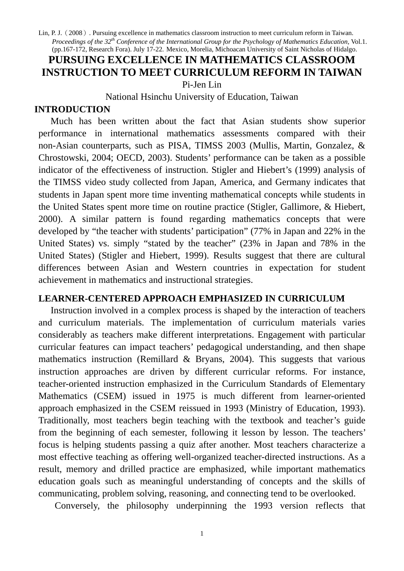# **PURSUING EXCELLENCE IN MATHEMATICS CLASSROOM INSTRUCTION TO MEET CURRICULUM REFORM IN TAIWAN** Pi-Jen Lin

National Hsinchu University of Education, Taiwan

### **INTRODUCTION**

Much has been written about the fact that Asian students show superior performance in international mathematics assessments compared with their non-Asian counterparts, such as PISA, TIMSS 2003 (Mullis, Martin, Gonzalez, & Chrostowski, 2004; OECD, 2003). Students' performance can be taken as a possible indicator of the effectiveness of instruction. Stigler and Hiebert's (1999) analysis of the TIMSS video study collected from Japan, America, and Germany indicates that students in Japan spent more time inventing mathematical concepts while students in the United States spent more time on routine practice (Stigler, Gallimore, & Hiebert, 2000). A similar pattern is found regarding mathematics concepts that were developed by "the teacher with students' participation" (77% in Japan and 22% in the United States) vs. simply "stated by the teacher" (23% in Japan and 78% in the United States) (Stigler and Hiebert, 1999). Results suggest that there are cultural differences between Asian and Western countries in expectation for student achievement in mathematics and instructional strategies.

## **LEARNER-CENTERED APPROACH EMPHASIZED IN CURRICULUM**

Instruction involved in a complex process is shaped by the interaction of teachers and curriculum materials. The implementation of curriculum materials varies considerably as teachers make different interpretations. Engagement with particular curricular features can impact teachers' pedagogical understanding, and then shape mathematics instruction (Remillard & Bryans, 2004). This suggests that various instruction approaches are driven by different curricular reforms. For instance, teacher-oriented instruction emphasized in the Curriculum Standards of Elementary Mathematics (CSEM) issued in 1975 is much different from learner-oriented approach emphasized in the CSEM reissued in 1993 (Ministry of Education, 1993). Traditionally, most teachers begin teaching with the textbook and teacher's guide from the beginning of each semester, following it lesson by lesson. The teachers' focus is helping students passing a quiz after another. Most teachers characterize a most effective teaching as offering well-organized teacher-directed instructions. As a result, memory and drilled practice are emphasized, while important mathematics education goals such as meaningful understanding of concepts and the skills of communicating, problem solving, reasoning, and connecting tend to be overlooked.

Conversely, the philosophy underpinning the 1993 version reflects that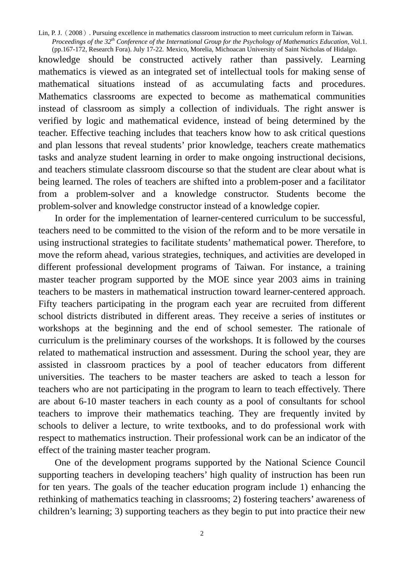knowledge should be constructed actively rather than passively. Learning mathematics is viewed as an integrated set of intellectual tools for making sense of mathematical situations instead of as accumulating facts and procedures. Mathematics classrooms are expected to become as mathematical communities instead of classroom as simply a collection of individuals. The right answer is verified by logic and mathematical evidence, instead of being determined by the teacher. Effective teaching includes that teachers know how to ask critical questions and plan lessons that reveal students' prior knowledge, teachers create mathematics tasks and analyze student learning in order to make ongoing instructional decisions, and teachers stimulate classroom discourse so that the student are clear about what is being learned. The roles of teachers are shifted into a problem-poser and a facilitator from a problem-solver and a knowledge constructor. Students become the problem-solver and knowledge constructor instead of a knowledge copier.

In order for the implementation of learner-centered curriculum to be successful, teachers need to be committed to the vision of the reform and to be more versatile in using instructional strategies to facilitate students' mathematical power. Therefore, to move the reform ahead, various strategies, techniques, and activities are developed in different professional development programs of Taiwan. For instance, a training master teacher program supported by the MOE since year 2003 aims in training teachers to be masters in mathematical instruction toward learner-centered approach. Fifty teachers participating in the program each year are recruited from different school districts distributed in different areas. They receive a series of institutes or workshops at the beginning and the end of school semester. The rationale of curriculum is the preliminary courses of the workshops. It is followed by the courses related to mathematical instruction and assessment. During the school year, they are assisted in classroom practices by a pool of teacher educators from different universities. The teachers to be master teachers are asked to teach a lesson for teachers who are not participating in the program to learn to teach effectively. There are about 6-10 master teachers in each county as a pool of consultants for school teachers to improve their mathematics teaching. They are frequently invited by schools to deliver a lecture, to write textbooks, and to do professional work with respect to mathematics instruction. Their professional work can be an indicator of the effect of the training master teacher program.

One of the development programs supported by the National Science Council supporting teachers in developing teachers' high quality of instruction has been run for ten years. The goals of the teacher education program include 1) enhancing the rethinking of mathematics teaching in classrooms; 2) fostering teachers' awareness of children's learning; 3) supporting teachers as they begin to put into practice their new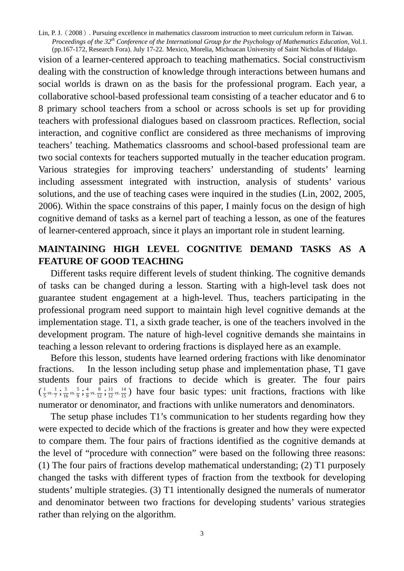vision of a learner-centered approach to teaching mathematics. Social constructivism dealing with the construction of knowledge through interactions between humans and social worlds is drawn on as the basis for the professional program. Each year, a collaborative school-based professional team consisting of a teacher educator and 6 to 8 primary school teachers from a school or across schools is set up for providing teachers with professional dialogues based on classroom practices. Reflection, social interaction, and cognitive conflict are considered as three mechanisms of improving teachers' teaching. Mathematics classrooms and school-based professional team are two social contexts for teachers supported mutually in the teacher education program. Various strategies for improving teachers' understanding of students' learning including assessment integrated with instruction, analysis of students' various solutions, and the use of teaching cases were inquired in the studies (Lin, 2002, 2005, 2006). Within the space constrains of this paper, I mainly focus on the design of high cognitive demand of tasks as a kernel part of teaching a lesson, as one of the features of learner-centered approach, since it plays an important role in student learning.

# **MAINTAINING HIGH LEVEL COGNITIVE DEMAND TASKS AS A FEATURE OF GOOD TEACHING**

Different tasks require different levels of student thinking. The cognitive demands of tasks can be changed during a lesson. Starting with a high-level task does not guarantee student engagement at a high-level. Thus, teachers participating in the professional program need support to maintain high level cognitive demands at the implementation stage. T1, a sixth grade teacher, is one of the teachers involved in the development program. The nature of high-level cognitive demands she maintains in teaching a lesson relevant to ordering fractions is displayed here as an example.

 Before this lesson, students have learned ordering fractions with like denominator fractions. In the lesson including setup phase and implementation phase, T1 gave students four pairs of fractions to decide which is greater. The four pairs  $(\frac{1}{5} \text{vs.} \frac{1}{7}; \frac{5}{16} \text{vs.} \frac{5}{9}; \frac{4}{9} \text{vs.} \frac{8}{12}; \frac{11}{12} \text{vs.} \frac{14}{15})$  have four basic types: unit fractions, fractions with like numerator or denominator, and fractions with unlike numerators and denominators.

 The setup phase includes T1's communication to her students regarding how they were expected to decide which of the fractions is greater and how they were expected to compare them. The four pairs of fractions identified as the cognitive demands at the level of "procedure with connection" were based on the following three reasons: (1) The four pairs of fractions develop mathematical understanding; (2) T1 purposely changed the tasks with different types of fraction from the textbook for developing students' multiple strategies. (3) T1 intentionally designed the numerals of numerator and denominator between two fractions for developing students' various strategies rather than relying on the algorithm.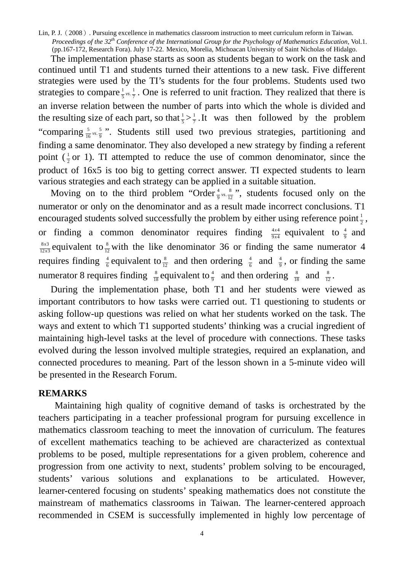The implementation phase starts as soon as students began to work on the task and continued until T1 and students turned their attentions to a new task. Five different strategies were used by the TI's students for the four problems. Students used two strategies to compare  $\frac{1}{5}$ <sub>vs</sub>  $\frac{1}{7}$ . One is referred to unit fraction. They realized that there is an inverse relation between the number of parts into which the whole is divided and the resulting size of each part, so that  $\frac{1}{5} > \frac{1}{7}$ . It was then followed by the problem "comparing  $\frac{5}{16}$  vs.  $\frac{5}{9}$ ". Students still used two previous strategies, partitioning and finding a same denominator. They also developed a new strategy by finding a referent point  $(\frac{1}{2}$  or 1). TI attempted to reduce the use of common denominator, since the product of 16x5 is too big to getting correct answer. TI expected students to learn various strategies and each strategy can be applied in a suitable situation.

Moving on to the third problem "Order  $\frac{4}{9}$  vs.  $\frac{8}{12}$ ", students focused only on the numerator or only on the denominator and as a result made incorrect conclusions. T1 encouraged students solved successfully the problem by either using reference point  $\frac{1}{2}$ , or finding a common denominator requires finding  $\frac{4x}{9x4}$  $\frac{x^4}{x^4}$  equivalent to  $\frac{4}{9}$  and  $12 x 3$  $8x3$  $\frac{x^3}{x^3}$  equivalent to  $\frac{8}{12}$  with the like denominator 36 or finding the same numerator 4 requires finding  $\frac{4}{6}$  equivalent to  $\frac{8}{12}$  and then ordering  $\frac{4}{6}$  and  $\frac{4}{9}$ , or finding the same numerator 8 requires finding  $\frac{8}{18}$  equivalent to  $\frac{4}{9}$  and then ordering  $\frac{8}{18}$  and  $\frac{8}{12}$ .

During the implementation phase, both T1 and her students were viewed as important contributors to how tasks were carried out. T1 questioning to students or asking follow-up questions was relied on what her students worked on the task. The ways and extent to which T1 supported students' thinking was a crucial ingredient of maintaining high-level tasks at the level of procedure with connections. These tasks evolved during the lesson involved multiple strategies, required an explanation, and connected procedures to meaning. Part of the lesson shown in a 5-minute video will be presented in the Research Forum.

#### **REMARKS**

 Maintaining high quality of cognitive demand of tasks is orchestrated by the teachers participating in a teacher professional program for pursuing excellence in mathematics classroom teaching to meet the innovation of curriculum. The features of excellent mathematics teaching to be achieved are characterized as contextual problems to be posed, multiple representations for a given problem, coherence and progression from one activity to next, students' problem solving to be encouraged, students' various solutions and explanations to be articulated. However, learner-centered focusing on students' speaking mathematics does not constitute the mainstream of mathematics classrooms in Taiwan. The learner-centered approach recommended in CSEM is successfully implemented in highly low percentage of